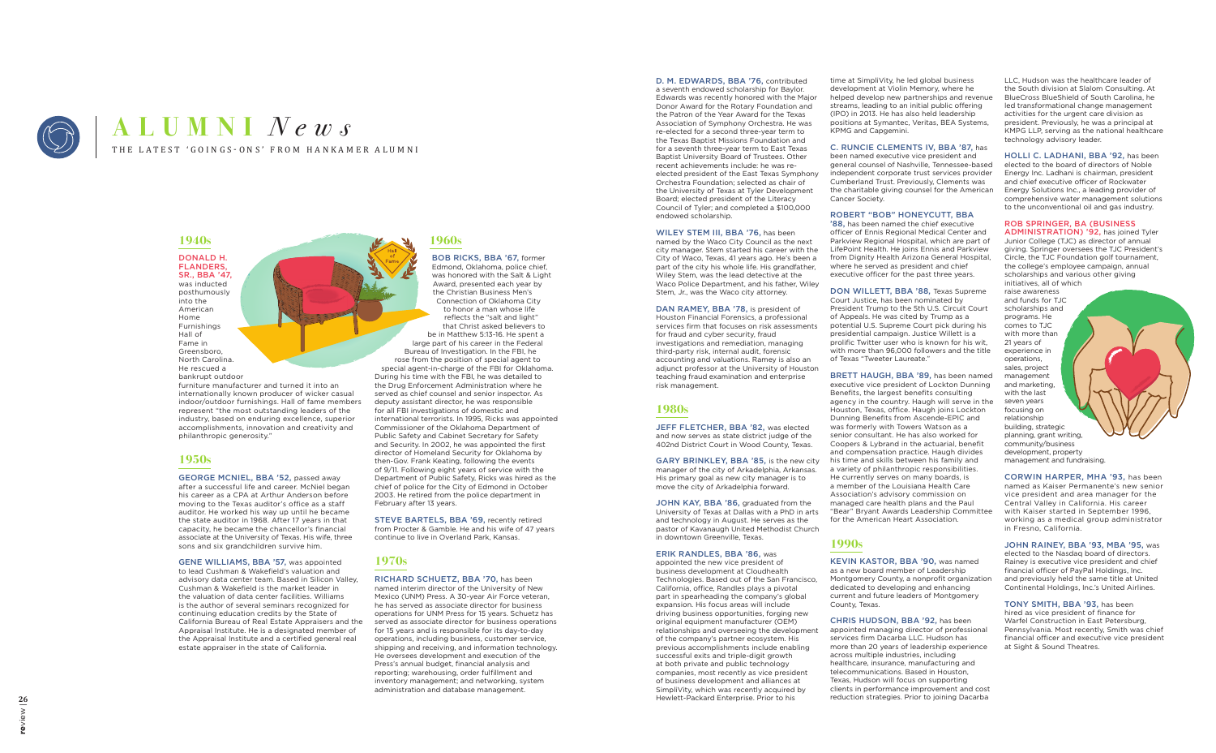

# THE LATEST 'GOINGS-ONS' FROM HANKAMER ALUMNI **ALUMNI** *News*

### **1940s**

DONALD H. FLANDERS, SR., BBA '47, was inducted posthumously into the American Home Furnishings Hall of Fame in Greensboro, North Carolina. He rescued a bankrupt outdoor

GEORGE MCNIEL, BBA '52, passed away after a successful life and career. McNiel began his career as a CPA at Arthur Anderson before moving to the Texas auditor's office as a staff auditor. He worked his way up until he became the state auditor in 1968. After 17 years in that capacity, he became the chancellor's financial associate at the University of Texas. His wife, three sons and six grandchildren survive him.

furniture manufacturer and turned it into an internationally known producer of wicker casual indoor/outdoor furnishings. Hall of fame members represent "the most outstanding leaders of the industry, based on enduring excellence, superior accomplishments, innovation and creativity and philanthropic generosity."

### **1950s**

GENE WILLIAMS, BBA '57, was appointed to lead Cushman & Wakefield's valuation and advisory data center team. Based in Silicon Valley, Cushman & Wakefield is the market leader in the valuation of data center facilities. Williams is the author of several seminars recognized for continuing education credits by the State of California Bureau of Real Estate Appraisers and the Appraisal Institute. He is a designated member of the Appraisal Institute and a certified general real estate appraiser in the state of California.

### **1960s**

BOB RICKS, BBA '67, former Edmond, Oklahoma, police chief, was honored with the Salt & Light Award, presented each year by the Christian Business Men's Connection of Oklahoma City to honor a man whose life reflects the "salt and light" that Christ asked believers to be in Matthew 5:13-16. He spent a large part of his career in the Federal Bureau of Investigation. In the FBI, he rose from the position of special agent to special agent-in-charge of the FBI for Oklahoma. During his time with the FBI, he was detailed to the Drug Enforcement Administration where he served as chief counsel and senior inspector. As deputy assistant director, he was responsible for all FBI investigations of domestic and international terrorists. In 1995, Ricks was appointed Commissioner of the Oklahoma Department of Public Safety and Cabinet Secretary for Safety and Security. In 2002, he was appointed the first director of Homeland Security for Oklahoma by then-Gov. Frank Keating, following the events of 9/11. Following eight years of service with the Department of Public Safety, Ricks was hired as the chief of police for the City of Edmond in October 2003. He retired from the police department in February after 13 years.

DAN RAMEY, BBA '78, is president of Houston Financial Forensics, a professional services firm that focuses on risk assessments for fraud and cyber security, fraud investigations and remediation, managing third-party risk, internal audit, forensic accounting and valuations. Ramey is also an adjunct professor at the University of Houston teaching fraud examination and enterprise risk management.

JEFF FLETCHER, BBA '82, was elected and now serves as state district judge of the 402nd District Court in Wood County, Texas.

JOHN KAY, BBA '86, graduated from the University of Texas at Dallas with a PhD in arts and technology in August. He serves as the pastor of Kavanaugh United Methodist Church in downtown Greenville, Texas.

STEVE BARTELS, BBA '69, recently retired from Procter & Gamble. He and his wife of 47 years continue to live in Overland Park, Kansas.

### **1970s**

RICHARD SCHUETZ, BBA '70, has been named interim director of the University of New Mexico (UNM) Press. A 30-year Air Force veteran, he has served as associate director for business operations for UNM Press for 15 years. Schuetz has served as associate director for business operations for 15 years and is responsible for its day-to-day operations, including business, customer service, shipping and receiving, and information technology. He oversees development and execution of the Press's annual budget, financial analysis and reporting; warehousing, order fulfillment and inventory management; and networking, system administration and database management.

'88, has been named the chief executive officer of Ennis Regional Medical Center and Parkview Regional Hospital, which are part of LifePoint Health. He joins Ennis and Parkview from Dignity Health Arizona General Hospital, where he served as president and chief executive officer for the past three years.

D. M. EDWARDS, BBA '76, contributed a seventh endowed scholarship for Baylor. Edwards was recently honored with the Major Donor Award for the Rotary Foundation and the Patron of the Year Award for the Texas Association of Symphony Orchestra. He was re-elected for a second three-year term to the Texas Baptist Missions Foundation and for a seventh three-year term to East Texas Baptist University Board of Trustees. Other recent achievements include: he was reelected president of the East Texas Symphony Orchestra Foundation; selected as chair of the University of Texas at Tyler Development Board; elected president of the Literacy Council of Tyler; and completed a \$100,000 endowed scholarship.

> BRETT HAUGH, BBA '89, has been named executive vice president of Lockton Dunning Benefits, the largest benefits consulting agency in the country. Haugh will serve in the Houston, Texas, office. Haugh joins Lockton Dunning Benefits from Ascende-EPIC and was formerly with Towers Watson as a senior consultant. He has also worked for Coopers & Lybrand in the actuarial, benefit and compensation practice. Haugh divides his time and skills between his family and a variety of philanthropic responsibilities. He currently serves on many boards, is a member of the Louisiana Health Care Association's advisory commission on managed care health plans and the Paul "Bear" Bryant Awards Leadership Committee for the American Heart Association.

WILEY STEM III, BBA '76, has been named by the Waco City Council as the next city manager. Stem started his career with the City of Waco, Texas, 41 years ago. He's been a part of the city his whole life. His grandfather, Wiley Stem, was the lead detective at the Waco Police Department, and his father, Wiley Stem, Jr., was the Waco city attorney.

### **1980s**

GARY BRINKLEY, BBA '85, is the new city manager of the city of Arkadelphia, Arkansas. His primary goal as new city manager is to move the city of Arkadelphia forward.

ERIK RANDLES, BBA '86, was

time at SimpliVity, he led global business development at Violin Memory, where he helped develop new partnerships and revenue streams, leading to an initial public offering (IPO) in 2013. He has also held leadership positions at Symantec, Veritas, BEA Systems, KPMG and Capgemini.

C. RUNCIE CLEMENTS IV, BBA '87, has been named executive vice president and general counsel of Nashville, Tennessee-based independent corporate trust services provider Cumberland Trust. Previously, Clements was the charitable giving counsel for the American Cancer Society.

### ROBERT "BOB" HONEYCUTT, BBA

appointed the new vice president of business development at Cloudhealth Technologies. Based out of the San Francisco, California, office, Randles plays a pivotal part in spearheading the company's global expansion. His focus areas will include driving business opportunities, forging new original equipment manufacturer (OEM) relationships and overseeing the development of the company's partner ecosystem. His previous accomplishments include enabling successful exits and triple-digit growth at both private and public technology companies, most recently as vice president of business development and alliances at SimpliVity, which was recently acquired by Hewlett-Packard Enterprise. Prior to his as a new board member of Leadership dedicated to developing and enhancing current and future leaders of Montgomery County, Texas. CHRIS HUDSON, BBA '92, has been appointed managing director of professional services firm Dacarba LLC. Hudson has more than 20 years of leadership experience across multiple industries, including healthcare, insurance, manufacturing and telecommunications. Based in Houston, Texas, Hudson will focus on supporting clients in performance improvement and cost reduction strategies. Prior to joining Dacarba

DON WILLETT, BBA '88, Texas Supreme Court Justice, has been nominated by President Trump to the 5th U.S. Circuit Court of Appeals. He was cited by Trump as a potential U.S. Supreme Court pick during his presidential campaign. Justice Willett is a prolific Twitter user who is known for his wit, with more than 96,000 followers and the title of Texas "Tweeter Laureate."

### **1990s**

KEVIN KASTOR, BBA '90, was named Montgomery County, a nonprofit organization

LLC, Hudson was the healthcare leader of the South division at Slalom Consulting. At BlueCross BlueShield of South Carolina, he led transformational change management activities for the urgent care division as president. Previously, he was a principal at KMPG LLP, serving as the national healthcare technology advisory leader.

HOLLI C. LADHANI, BBA '92, has been elected to the board of directors of Noble Energy Inc. Ladhani is chairman, president and chief executive officer of Rockwater Energy Solutions Inc., a leading provider of comprehensive water management solutions to the unconventional oil and gas industry.

## ROB SPRINGER, BA (BUSINESS

ADMINISTRATION) '92, has joined Tyler Junior College (TJC) as director of annual giving. Springer oversees the TJC President's Circle, the TJC Foundation golf tournament, the college's employee campaign, annual scholarships and various other giving initiatives, all of which

raise awareness and funds for TJC scholarships and programs. He comes to TJC with more than 21 years of experience in operations, sales, project management and marketing, with the last seven years focusing on relationship building, strategic planning, grant writing, community/business development, property management and fundraising.

CORWIN HARPER, MHA '93, has been named as Kaiser Permanente's new senior vice president and area manager for the Central Valley in California. His career with Kaiser started in September 1996, working as a medical group administrator in Fresno, California.

JOHN RAINEY, BBA '93, MBA '95, was elected to the Nasdaq board of directors. Rainey is executive vice president and chief financial officer of PayPal Holdings, Inc. and previously held the same title at United Continental Holdings, Inc.'s United Airlines.

TONY SMITH, BBA '93, has been hired as vice president of finance for Warfel Construction in East Petersburg, Pennsylvania. Most recently, Smith was chief financial officer and executive vice president at Sight & Sound Theatres.